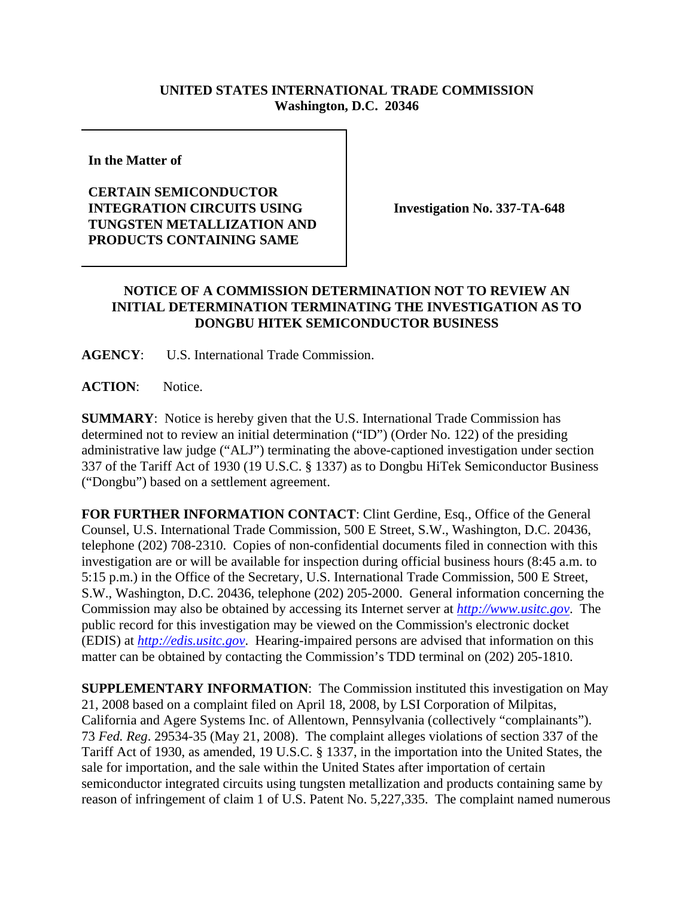## **UNITED STATES INTERNATIONAL TRADE COMMISSION Washington, D.C. 20346**

**In the Matter of** 

## **CERTAIN SEMICONDUCTOR INTEGRATION CIRCUITS USING TUNGSTEN METALLIZATION AND PRODUCTS CONTAINING SAME**

**Investigation No. 337-TA-648**

## **NOTICE OF A COMMISSION DETERMINATION NOT TO REVIEW AN INITIAL DETERMINATION TERMINATING THE INVESTIGATION AS TO DONGBU HITEK SEMICONDUCTOR BUSINESS**

**AGENCY**: U.S. International Trade Commission.

**ACTION**: Notice.

**SUMMARY**: Notice is hereby given that the U.S. International Trade Commission has determined not to review an initial determination ("ID") (Order No. 122) of the presiding administrative law judge ("ALJ") terminating the above-captioned investigation under section 337 of the Tariff Act of 1930 (19 U.S.C. § 1337) as to Dongbu HiTek Semiconductor Business ("Dongbu") based on a settlement agreement.

**FOR FURTHER INFORMATION CONTACT**: Clint Gerdine, Esq., Office of the General Counsel, U.S. International Trade Commission, 500 E Street, S.W., Washington, D.C. 20436, telephone (202) 708-2310. Copies of non-confidential documents filed in connection with this investigation are or will be available for inspection during official business hours (8:45 a.m. to 5:15 p.m.) in the Office of the Secretary, U.S. International Trade Commission, 500 E Street, S.W., Washington, D.C. 20436, telephone (202) 205-2000. General information concerning the Commission may also be obtained by accessing its Internet server at *http://www.usitc.gov*. The public record for this investigation may be viewed on the Commission's electronic docket (EDIS) at *http://edis.usitc.gov*. Hearing-impaired persons are advised that information on this matter can be obtained by contacting the Commission's TDD terminal on (202) 205-1810.

**SUPPLEMENTARY INFORMATION**: The Commission instituted this investigation on May 21, 2008 based on a complaint filed on April 18, 2008, by LSI Corporation of Milpitas, California and Agere Systems Inc. of Allentown, Pennsylvania (collectively "complainants"). 73 *Fed. Reg*. 29534-35 (May 21, 2008). The complaint alleges violations of section 337 of the Tariff Act of 1930, as amended, 19 U.S.C. § 1337, in the importation into the United States, the sale for importation, and the sale within the United States after importation of certain semiconductor integrated circuits using tungsten metallization and products containing same by reason of infringement of claim 1 of U.S. Patent No. 5,227,335. The complaint named numerous